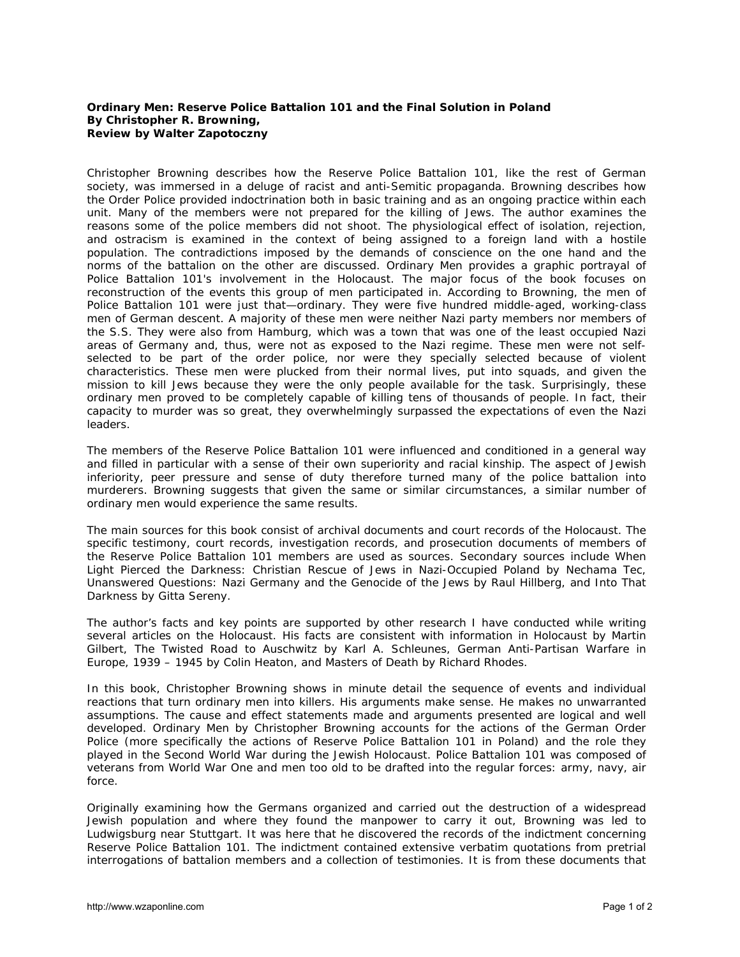## **Ordinary Men: Reserve Police** *Battalion 101 and the Final Solution in Poland* **By Christopher R. Browning, Review by Walter Zapotoczny**

Christopher Browning describes how the Reserve Police Battalion 101, like the rest of German society, was immersed in a deluge of racist and anti-Semitic propaganda. Browning describes how the Order Police provided indoctrination both in basic training and as an ongoing practice within each unit. Many of the members were not prepared for the killing of Jews. The author examines the reasons some of the police members did not shoot. The physiological effect of isolation, rejection, and ostracism is examined in the context of being assigned to a foreign land with a hostile population. The contradictions imposed by the demands of conscience on the one hand and the norms of the battalion on the other are discussed. Ordinary Men provides a graphic portrayal of Police Battalion 101's involvement in the Holocaust. The major focus of the book focuses on reconstruction of the events this group of men participated in. According to Browning, the men of Police Battalion 101 were just that—ordinary. They were five hundred middle-aged, working-class men of German descent. A majority of these men were neither Nazi party members nor members of the S.S. They were also from Hamburg, which was a town that was one of the least occupied Nazi areas of Germany and, thus, were not as exposed to the Nazi regime. These men were not selfselected to be part of the order police, nor were they specially selected because of violent characteristics. These men were plucked from their normal lives, put into squads, and given the mission to kill Jews because they were the only people available for the task. Surprisingly, these ordinary men proved to be completely capable of killing tens of thousands of people. In fact, their capacity to murder was so great, they overwhelmingly surpassed the expectations of even the Nazi leaders.

The members of the Reserve Police Battalion 101 were influenced and conditioned in a general way and filled in particular with a sense of their own superiority and racial kinship. The aspect of Jewish inferiority, peer pressure and sense of duty therefore turned many of the police battalion into murderers. Browning suggests that given the same or similar circumstances, a similar number of ordinary men would experience the same results.

The main sources for this book consist of archival documents and court records of the Holocaust. The specific testimony, court records, investigation records, and prosecution documents of members of the Reserve Police Battalion 101 members are used as sources. Secondary sources include *When Light Pierced the Darkness: Christian Rescue of Jews in Nazi-Occupied Poland* by Nechama Tec, *Unanswered Questions: Nazi Germany and the Genocide of the Jews* by Raul Hillberg, and *Into That Darkness* by Gitta Sereny.

The author's facts and key points are supported by other research I have conducted while writing several articles on the Holocaust. His facts are consistent with information in *Holocaust* by Martin Gilbert, *The Twisted Road to Auschwitz* by Karl A. Schleunes, *German Anti-Partisan Warfare in Europe, 1939 – 1945* by Colin Heaton, and *Masters of Death* by Richard Rhodes.

In this book, Christopher Browning shows in minute detail the sequence of events and individual reactions that turn ordinary men into killers. His arguments make sense. He makes no unwarranted assumptions. The cause and effect statements made and arguments presented are logical and well developed. Ordinary Men by Christopher Browning accounts for the actions of the German Order Police (more specifically the actions of Reserve Police Battalion 101 in Poland) and the role they played in the Second World War during the Jewish Holocaust. Police Battalion 101 was composed of veterans from World War One and men too old to be drafted into the regular forces: army, navy, air force.

Originally examining how the Germans organized and carried out the destruction of a widespread Jewish population and where they found the manpower to carry it out, Browning was led to Ludwigsburg near Stuttgart. It was here that he discovered the records of the indictment concerning Reserve Police Battalion 101. The indictment contained extensive verbatim quotations from pretrial interrogations of battalion members and a collection of testimonies. It is from these documents that